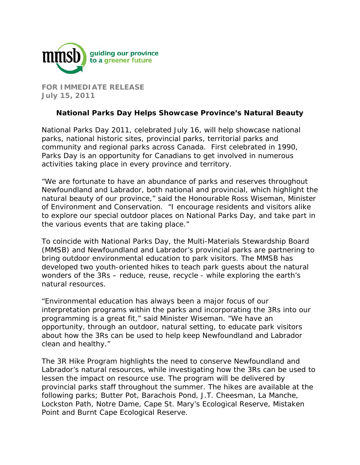

**FOR IMMEDIATE RELEASE July 15, 2011** 

## **National Parks Day Helps Showcase Province's Natural Beauty**

National Parks Day 2011, celebrated July 16, will help showcase national parks, national historic sites, provincial parks, territorial parks and community and regional parks across Canada. First celebrated in 1990, Parks Day is an opportunity for Canadians to get involved in numerous activities taking place in every province and territory.

"We are fortunate to have an abundance of parks and reserves throughout Newfoundland and Labrador, both national and provincial, which highlight the natural beauty of our province," said the Honourable Ross Wiseman, Minister of Environment and Conservation. "I encourage residents and visitors alike to explore our special outdoor places on National Parks Day, and take part in the various events that are taking place."

To coincide with National Parks Day, the Multi-Materials Stewardship Board (MMSB) and Newfoundland and Labrador's provincial parks are partnering to bring outdoor environmental education to park visitors. The MMSB has developed two youth-oriented hikes to teach park guests about the natural wonders of the 3Rs – reduce, reuse, recycle - while exploring the earth's natural resources.

"Environmental education has always been a major focus of our interpretation programs within the parks and incorporating the 3Rs into our programming is a great fit," said Minister Wiseman. "We have an opportunity, through an outdoor, natural setting, to educate park visitors about how the 3Rs can be used to help keep Newfoundland and Labrador clean and healthy."

The 3R Hike Program highlights the need to conserve Newfoundland and Labrador's natural resources, while investigating how the 3Rs can be used to lessen the impact on resource use. The program will be delivered by provincial parks staff throughout the summer. The hikes are available at the following parks; Butter Pot, Barachois Pond, J.T. Cheesman, La Manche, Lockston Path, Notre Dame, Cape St. Mary's Ecological Reserve, Mistaken Point and Burnt Cape Ecological Reserve.